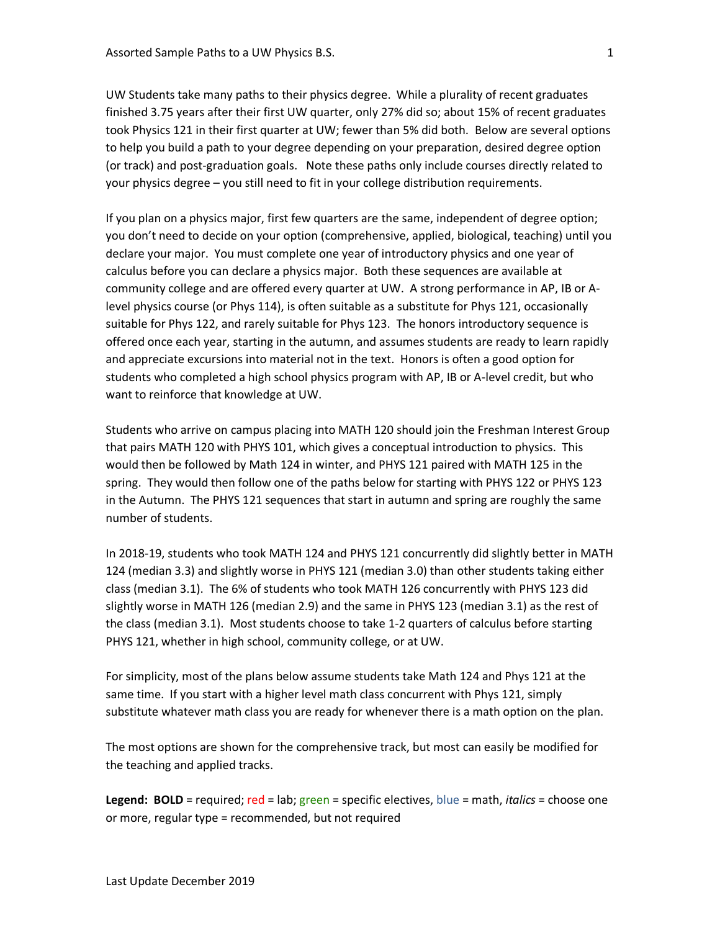UW Students take many paths to their physics degree. While a plurality of recent graduates finished 3.75 years after their first UW quarter, only 27% did so; about 15% of recent graduates took Physics 121 in their first quarter at UW; fewer than 5% did both. Below are several options to help you build a path to your degree depending on your preparation, desired degree option (or track) and post-graduation goals. Note these paths only include courses directly related to your physics degree – you still need to fit in your college distribution requirements.

If you plan on a physics major, first few quarters are the same, independent of degree option; you don't need to decide on your option (comprehensive, applied, biological, teaching) until you declare your major. You must complete one year of introductory physics and one year of calculus before you can declare a physics major. Both these sequences are available at community college and are offered every quarter at UW. A strong performance in AP, IB or Alevel physics course (or Phys 114), is often suitable as a substitute for Phys 121, occasionally suitable for Phys 122, and rarely suitable for Phys 123. The honors introductory sequence is offered once each year, starting in the autumn, and assumes students are ready to learn rapidly and appreciate excursions into material not in the text. Honors is often a good option for students who completed a high school physics program with AP, IB or A-level credit, but who want to reinforce that knowledge at UW.

Students who arrive on campus placing into MATH 120 should join the Freshman Interest Group that pairs MATH 120 with PHYS 101, which gives a conceptual introduction to physics. This would then be followed by Math 124 in winter, and PHYS 121 paired with MATH 125 in the spring. They would then follow one of the paths below for starting with PHYS 122 or PHYS 123 in the Autumn. The PHYS 121 sequences that start in autumn and spring are roughly the same number of students.

In 2018-19, students who took MATH 124 and PHYS 121 concurrently did slightly better in MATH 124 (median 3.3) and slightly worse in PHYS 121 (median 3.0) than other students taking either class (median 3.1). The 6% of students who took MATH 126 concurrently with PHYS 123 did slightly worse in MATH 126 (median 2.9) and the same in PHYS 123 (median 3.1) as the rest of the class (median 3.1). Most students choose to take 1-2 quarters of calculus before starting PHYS 121, whether in high school, community college, or at UW.

For simplicity, most of the plans below assume students take Math 124 and Phys 121 at the same time. If you start with a higher level math class concurrent with Phys 121, simply substitute whatever math class you are ready for whenever there is a math option on the plan.

The most options are shown for the comprehensive track, but most can easily be modified for the teaching and applied tracks.

**Legend: BOLD** = required; red = lab; green = specific electives, blue = math, *italics* = choose one or more, regular type = recommended, but not required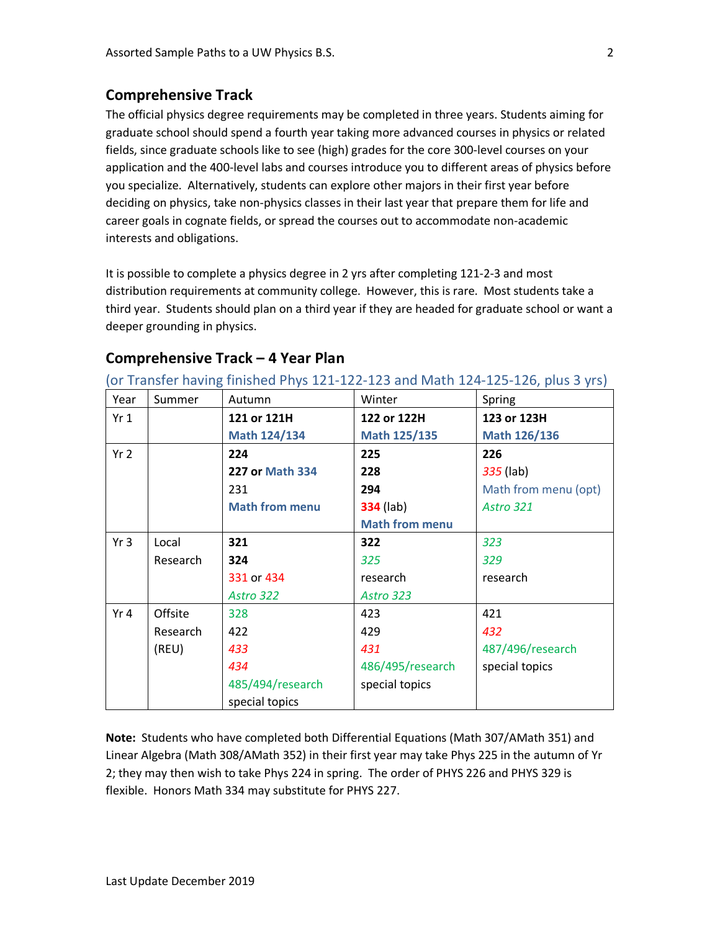## **Comprehensive Track**

The official physics degree requirements may be completed in three years. Students aiming for graduate school should spend a fourth year taking more advanced courses in physics or related fields, since graduate schools like to see (high) grades for the core 300-level courses on your application and the 400-level labs and courses introduce you to different areas of physics before you specialize. Alternatively, students can explore other majors in their first year before deciding on physics, take non-physics classes in their last year that prepare them for life and career goals in cognate fields, or spread the courses out to accommodate non-academic interests and obligations.

It is possible to complete a physics degree in 2 yrs after completing 121-2-3 and most distribution requirements at community college. However, this is rare. Most students take a third year. Students should plan on a third year if they are headed for graduate school or want a deeper grounding in physics.

|                 | U Transici naving imisiica riiys 121 122 123 and matri 124 123 120, pius 3 yrs) |                        |                       |                      |  |
|-----------------|---------------------------------------------------------------------------------|------------------------|-----------------------|----------------------|--|
| Year            | Summer                                                                          | Autumn                 | Winter                | Spring               |  |
| Yr1             |                                                                                 | 121 or 121H            | 122 or 122H           | 123 or 123H          |  |
|                 |                                                                                 | Math 124/134           | Math 125/135          | Math 126/136         |  |
| Yr <sub>2</sub> |                                                                                 | 224                    | 225                   | 226                  |  |
|                 |                                                                                 | <b>227 or Math 334</b> | 228                   | 335 (lab)            |  |
|                 |                                                                                 | 231                    | 294                   | Math from menu (opt) |  |
|                 |                                                                                 | <b>Math from menu</b>  | <b>334</b> (lab)      | Astro 321            |  |
|                 |                                                                                 |                        | <b>Math from menu</b> |                      |  |
| Yr3             | Local                                                                           | 321                    | 322                   | 323                  |  |
|                 | Research                                                                        | 324                    | 325                   | 329                  |  |
|                 |                                                                                 | 331 or 434             | research              | research             |  |
|                 |                                                                                 | Astro 322              | Astro 323             |                      |  |
| Yr 4            | Offsite                                                                         | 328                    | 423                   | 421                  |  |
|                 | Research                                                                        | 422                    | 429                   | 432                  |  |
|                 | (REU)                                                                           | 433                    | 431                   | 487/496/research     |  |
|                 |                                                                                 | 434                    | 486/495/research      | special topics       |  |
|                 |                                                                                 | 485/494/research       | special topics        |                      |  |
|                 |                                                                                 | special topics         |                       |                      |  |

## **Comprehensive Track – 4 Year Plan**

(or Transfer having finished Phys 121-122-123 and Math 124-125-126, plus 3 yrs)

**Note:** Students who have completed both Differential Equations (Math 307/AMath 351) and Linear Algebra (Math 308/AMath 352) in their first year may take Phys 225 in the autumn of Yr 2; they may then wish to take Phys 224 in spring. The order of PHYS 226 and PHYS 329 is flexible. Honors Math 334 may substitute for PHYS 227.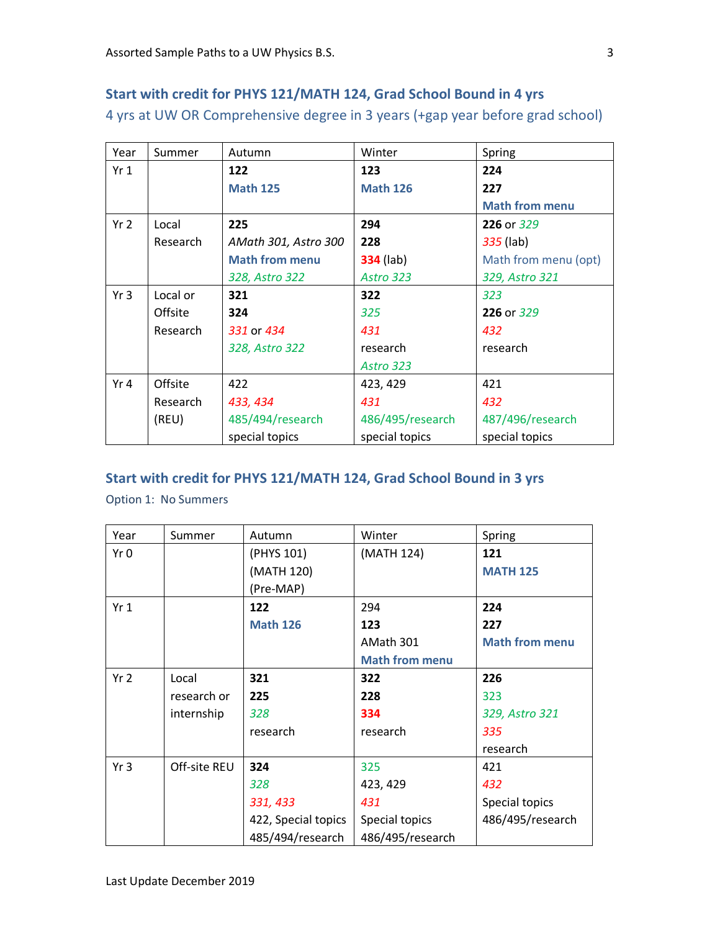# **Start with credit for PHYS 121/MATH 124, Grad School Bound in 4 yrs** 4 yrs at UW OR Comprehensive degree in 3 years (+gap year before grad school)

| Year            | Summer   | Autumn                | Winter           | Spring                |
|-----------------|----------|-----------------------|------------------|-----------------------|
| Yr1             |          | 122                   | 123              | 224                   |
|                 |          | <b>Math 125</b>       | <b>Math 126</b>  | 227                   |
|                 |          |                       |                  | <b>Math from menu</b> |
| Yr <sub>2</sub> | Local    | 225                   | 294              | 226 or 329            |
|                 | Research | AMath 301, Astro 300  | 228              | 335 (lab)             |
|                 |          | <b>Math from menu</b> | <b>334</b> (lab) | Math from menu (opt)  |
|                 |          | 328, Astro 322        | Astro 323        | 329, Astro 321        |
| Yr <sub>3</sub> | Local or | 321                   | 322              | 323                   |
|                 | Offsite  | 324                   | 325              | 226 or 329            |
|                 | Research | 331 or 434            | 431              | 432                   |
|                 |          | 328, Astro 322        | research         | research              |
|                 |          |                       | Astro 323        |                       |
| Yr 4            | Offsite  | 422                   | 423, 429         | 421                   |
|                 | Research | 433, 434              | 431              | 432                   |
|                 | (REU)    | 485/494/research      | 486/495/research | 487/496/research      |
|                 |          | special topics        | special topics   | special topics        |

#### **Start with credit for PHYS 121/MATH 124, Grad School Bound in 3 yrs**

Option 1: No Summers

| Year            | Summer       | Autumn              | Winter                | Spring                |
|-----------------|--------------|---------------------|-----------------------|-----------------------|
| Yr 0            |              | (PHYS 101)          | (MATH 124)            | 121                   |
|                 |              | (MATH 120)          |                       | <b>MATH 125</b>       |
|                 |              | (Pre-MAP)           |                       |                       |
| Yr1             |              | 122                 | 294                   | 224                   |
|                 |              | <b>Math 126</b>     | 123                   | 227                   |
|                 |              |                     | AMath 301             | <b>Math from menu</b> |
|                 |              |                     | <b>Math from menu</b> |                       |
| Yr <sub>2</sub> | Local        | 321                 | 322                   | 226                   |
|                 | research or  | 225                 | 228                   | 323                   |
|                 | internship   | 328                 | 334                   | 329, Astro 321        |
|                 |              | research            | research              | 335                   |
|                 |              |                     |                       | research              |
| Yr <sub>3</sub> | Off-site REU | 324                 | 325                   | 421                   |
|                 |              | 328                 | 423, 429              | 432                   |
|                 |              | 331, 433            | 431                   | Special topics        |
|                 |              | 422, Special topics | Special topics        | 486/495/research      |
|                 |              | 485/494/research    | 486/495/research      |                       |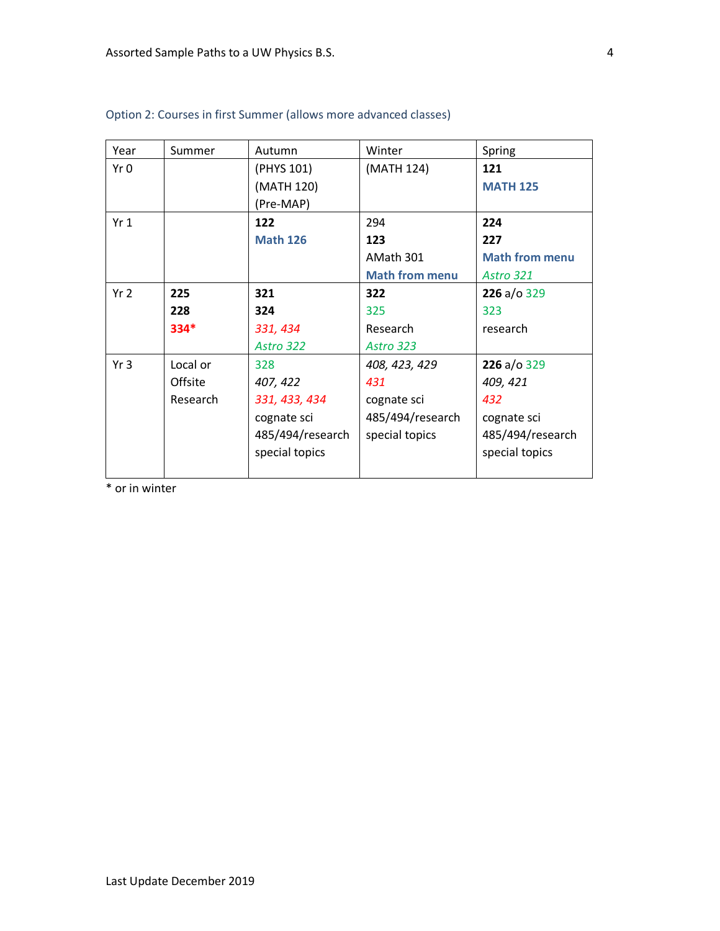| Year            | Summer   | Autumn           | Winter                | Spring                |
|-----------------|----------|------------------|-----------------------|-----------------------|
| Yr 0            |          | (PHYS 101)       | (MATH 124)            | 121                   |
|                 |          | (MATH 120)       |                       | <b>MATH 125</b>       |
|                 |          | (Pre-MAP)        |                       |                       |
| Yr <sub>1</sub> |          | 122              | 294                   | 224                   |
|                 |          | <b>Math 126</b>  | 123                   | 227                   |
|                 |          |                  | AMath 301             | <b>Math from menu</b> |
|                 |          |                  | <b>Math from menu</b> | Astro 321             |
| Yr <sub>2</sub> | 225      | 321              | 322                   | 226 a/o 329           |
|                 | 228      | 324              | 325                   | 323                   |
|                 | $334*$   | 331, 434         | Research              | research              |
|                 |          | Astro 322        | Astro 323             |                       |
| Yr <sub>3</sub> | Local or | 328              | 408, 423, 429         | 226 a/o 329           |
|                 | Offsite  | 407, 422         | 431                   | 409, 421              |
|                 | Research | 331, 433, 434    | cognate sci           | 432                   |
|                 |          | cognate sci      | 485/494/research      | cognate sci           |
|                 |          | 485/494/research | special topics        | 485/494/research      |
|                 |          | special topics   |                       | special topics        |
|                 |          |                  |                       |                       |

## Option 2: Courses in first Summer (allows more advanced classes)

\* or in winter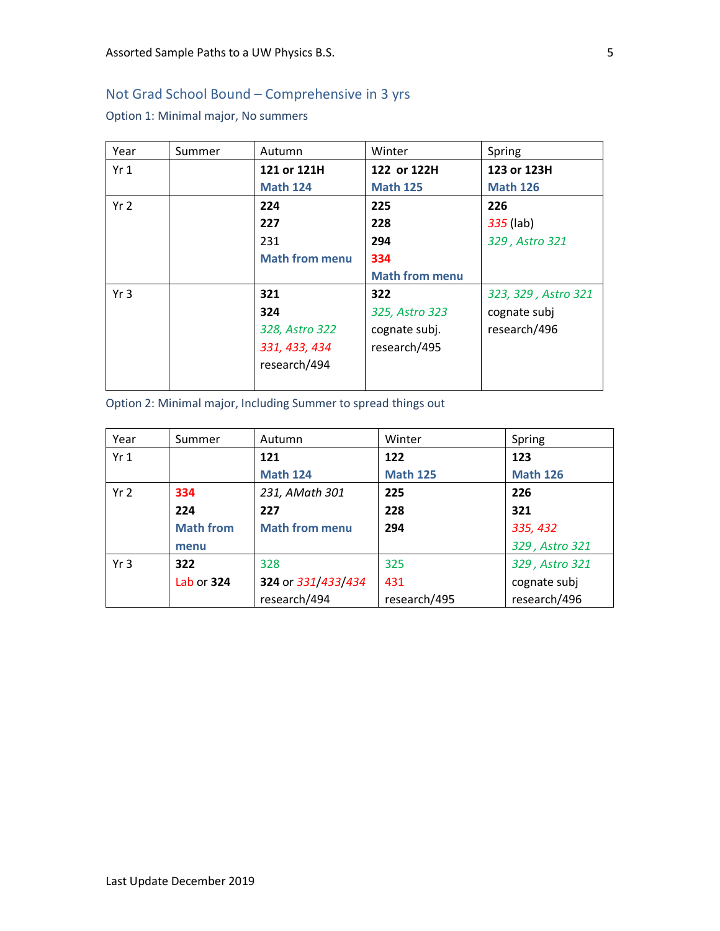## Not Grad School Bound – Comprehensive in 3 yrs

Option 1: Minimal major, No summers

| Year            | Summer | Autumn                | Winter                | Spring              |
|-----------------|--------|-----------------------|-----------------------|---------------------|
| Yr1             |        | 121 or 121H           | 122 or 122H           | 123 or 123H         |
|                 |        | <b>Math 124</b>       | <b>Math 125</b>       | <b>Math 126</b>     |
| Yr <sub>2</sub> |        | 224                   | 225                   | 226                 |
|                 |        | 227                   | 228                   | 335 (lab)           |
|                 |        | 231                   | 294                   | 329, Astro 321      |
|                 |        | <b>Math from menu</b> | 334                   |                     |
|                 |        |                       | <b>Math from menu</b> |                     |
| Yr <sub>3</sub> |        | 321                   | 322                   | 323, 329, Astro 321 |
|                 |        | 324                   | 325, Astro 323        | cognate subj        |
|                 |        | 328, Astro 322        | cognate subj.         | research/496        |
|                 |        | 331, 433, 434         | research/495          |                     |
|                 |        | research/494          |                       |                     |
|                 |        |                       |                       |                     |

Option 2: Minimal major, Including Summer to spread things out

| Year            | Summer           | Autumn                | Winter          | Spring          |
|-----------------|------------------|-----------------------|-----------------|-----------------|
| Yr1             |                  | 121                   | 122             | 123             |
|                 |                  | <b>Math 124</b>       | <b>Math 125</b> | <b>Math 126</b> |
| Yr <sub>2</sub> | 334              | 231, AMath 301        | 225             | 226             |
|                 | 224              | 227                   | 228             | 321             |
|                 | <b>Math from</b> | <b>Math from menu</b> | 294             | 335, 432        |
|                 | menu             |                       |                 | 329, Astro 321  |
| Yr <sub>3</sub> | 322              | 328                   | 325             | 329, Astro 321  |
|                 | Lab or 324       | 324 or 331/433/434    | 431             | cognate subj    |
|                 |                  | research/494          | research/495    | research/496    |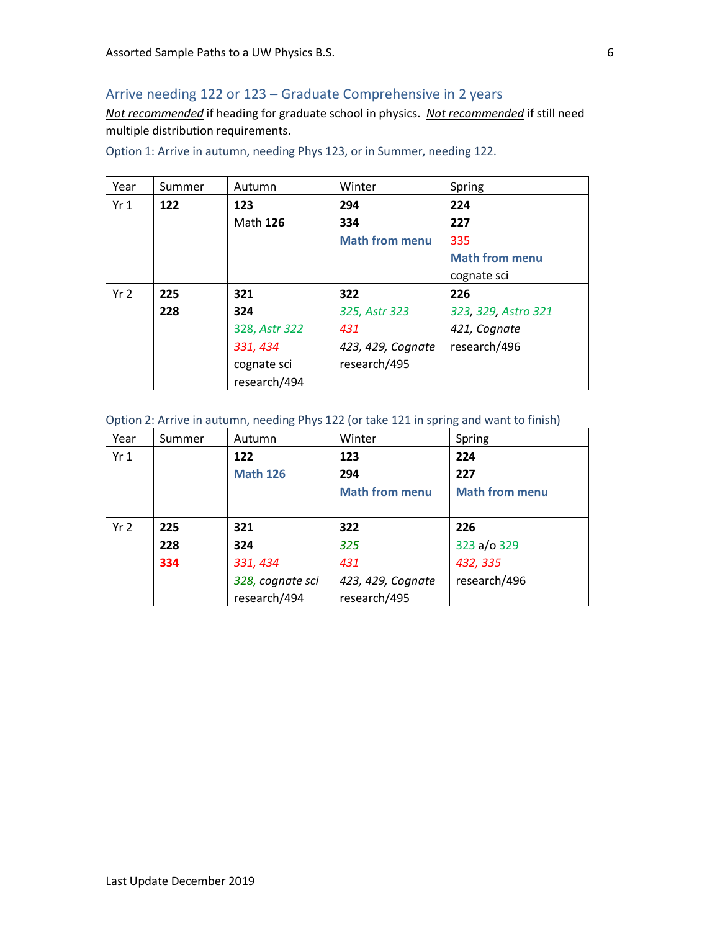## Arrive needing 122 or 123 – Graduate Comprehensive in 2 years

*Not recommended* if heading for graduate school in physics. *Not recommended* if still need multiple distribution requirements.

| Year            | Summer | Autumn        | Winter                | Spring                |
|-----------------|--------|---------------|-----------------------|-----------------------|
| Yr1             | 122    | 123           | 294                   | 224                   |
|                 |        | Math 126      | 334                   | 227                   |
|                 |        |               | <b>Math from menu</b> | 335                   |
|                 |        |               |                       | <b>Math from menu</b> |
|                 |        |               |                       | cognate sci           |
| Yr <sub>2</sub> | 225    | 321           | 322                   | 226                   |
|                 | 228    | 324           | 325, Astr 323         | 323, 329, Astro 321   |
|                 |        | 328, Astr 322 | 431                   | 421, Cognate          |
|                 |        | 331, 434      | 423, 429, Cognate     | research/496          |
|                 |        | cognate sci   | research/495          |                       |
|                 |        | research/494  |                       |                       |

Option 1: Arrive in autumn, needing Phys 123, or in Summer, needing 122.

#### Option 2: Arrive in autumn, needing Phys 122 (or take 121 in spring and want to finish)

| Year            | Summer | Autumn           | Winter                | Spring                |
|-----------------|--------|------------------|-----------------------|-----------------------|
| Yr1             |        | 122              | 123                   | 224                   |
|                 |        | <b>Math 126</b>  | 294                   | 227                   |
|                 |        |                  | <b>Math from menu</b> | <b>Math from menu</b> |
|                 |        |                  |                       |                       |
| Yr <sub>2</sub> | 225    | 321              | 322                   | 226                   |
|                 | 228    | 324              | 325                   | 323 a/o 329           |
|                 | 334    | 331, 434         | 431                   | 432, 335              |
|                 |        | 328, cognate sci | 423, 429, Cognate     | research/496          |
|                 |        | research/494     | research/495          |                       |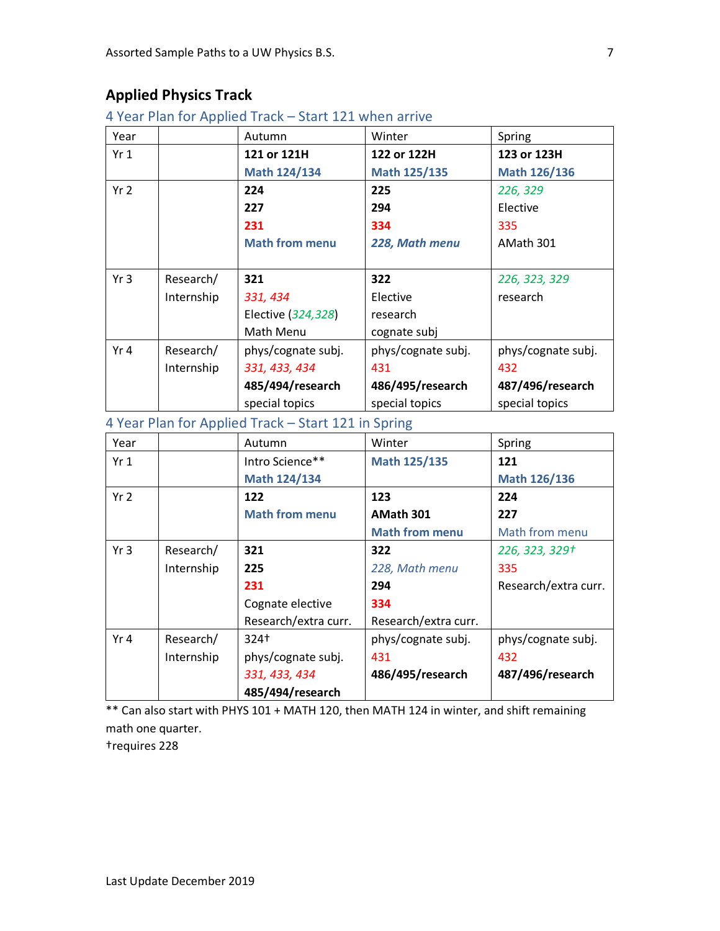# **Applied Physics Track**

4 Year Plan for Applied Track – Start 121 when arrive

| Year            |            | Autumn                | Winter             | Spring             |
|-----------------|------------|-----------------------|--------------------|--------------------|
| Yr <sub>1</sub> |            | 121 or 121H           | 122 or 122H        | 123 or 123H        |
|                 |            | Math 124/134          | Math 125/135       | Math 126/136       |
| Yr <sub>2</sub> |            | 224                   | 225                | 226, 329           |
|                 |            | 227                   | 294                | Elective           |
|                 |            | 231                   | 334                | 335                |
|                 |            | <b>Math from menu</b> | 228, Math menu     | AMath 301          |
|                 |            |                       |                    |                    |
| Yr <sub>3</sub> | Research/  | 321                   | 322                | 226, 323, 329      |
|                 | Internship | 331, 434              | Elective           | research           |
|                 |            | Elective (324,328)    | research           |                    |
|                 |            | Math Menu             | cognate subj       |                    |
| Yr 4            | Research/  | phys/cognate subj.    | phys/cognate subj. | phys/cognate subj. |
|                 | Internship | 331, 433, 434         | 431                | 432                |
|                 |            | 485/494/research      | 486/495/research   | 487/496/research   |
|                 |            | special topics        | special topics     | special topics     |

4 Year Plan for Applied Track – Start 121 in Spring

| Year            |            | Autumn                | Winter                | Spring               |
|-----------------|------------|-----------------------|-----------------------|----------------------|
| Yr1             |            | Intro Science**       | <b>Math 125/135</b>   | 121                  |
|                 |            | Math 124/134          |                       | Math 126/136         |
| Yr <sub>2</sub> |            | 122                   | 123                   | 224                  |
|                 |            | <b>Math from menu</b> | AMath 301             | 227                  |
|                 |            |                       | <b>Math from menu</b> | Math from menu       |
| Yr <sub>3</sub> | Research/  | 321                   | 322                   | 226, 323, 329+       |
|                 | Internship | 225                   | 228, Math menu        | 335                  |
|                 |            | 231                   | 294                   | Research/extra curr. |
|                 |            | Cognate elective      | 334                   |                      |
|                 |            | Research/extra curr.  | Research/extra curr.  |                      |
| Yr 4            | Research/  | 324†                  | phys/cognate subj.    | phys/cognate subj.   |
|                 | Internship | phys/cognate subj.    | 431                   | 432                  |
|                 |            | 331, 433, 434         | 486/495/research      | 487/496/research     |
|                 |            | 485/494/research      |                       |                      |

\*\* Can also start with PHYS 101 + MATH 120, then MATH 124 in winter, and shift remaining math one quarter.

†requires 228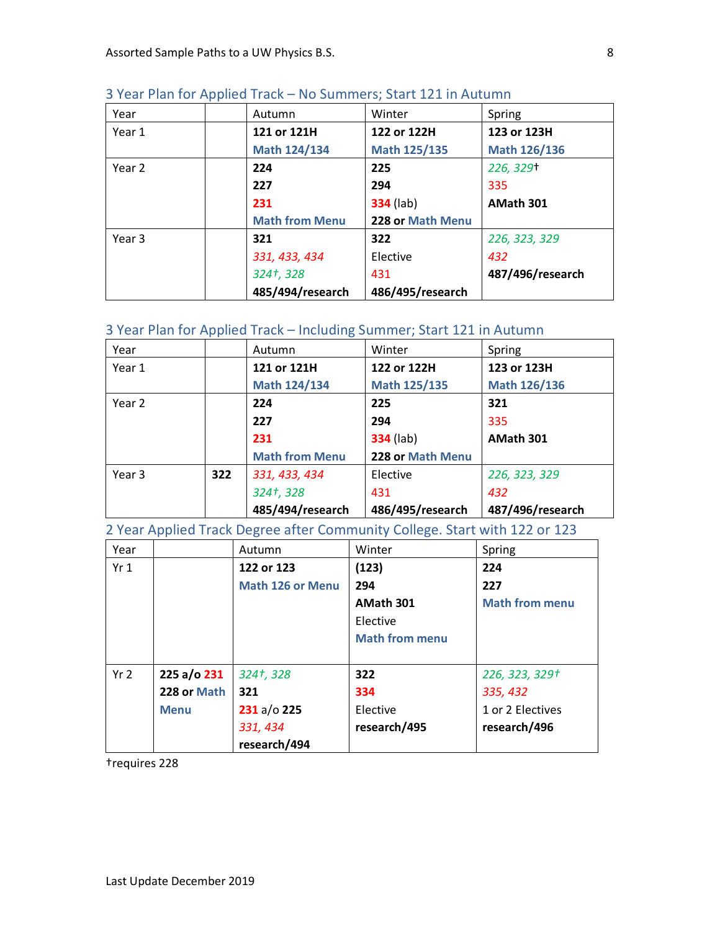| Year   | Autumn                | Winter           | Spring           |
|--------|-----------------------|------------------|------------------|
| Year 1 | 121 or 121H           | 122 or 122H      | 123 or 123H      |
|        | Math 124/134          | Math 125/135     | Math 126/136     |
| Year 2 | 224                   | 225              | 226, 329+        |
|        | 227                   | 294              | 335              |
|        | 231                   | <b>334</b> (lab) | AMath 301        |
|        | <b>Math from Menu</b> | 228 or Math Menu |                  |
| Year 3 | 321                   | 322              | 226, 323, 329    |
|        | 331, 433, 434         | Elective         | 432              |
|        | 324†, 328             | 431              | 487/496/research |
|        | 485/494/research      | 486/495/research |                  |

## 3 Year Plan for Applied Track – No Summers; Start 121 in Autumn

## 3 Year Plan for Applied Track – Including Summer; Start 121 in Autumn

|        |     | 485/494/research      | 486/495/research | 487/496/research |
|--------|-----|-----------------------|------------------|------------------|
|        |     | 324†, 328             | 431              | 432              |
| Year 3 | 322 | 331, 433, 434         | Elective         | 226, 323, 329    |
|        |     | <b>Math from Menu</b> | 228 or Math Menu |                  |
|        |     | 231                   | <b>334</b> (lab) | AMath 301        |
|        |     | 227                   | 294              | 335              |
| Year 2 |     | 224                   | 225              | 321              |
|        |     | Math 124/134          | Math 125/135     | Math 126/136     |
| Year 1 |     | 121 or 121H           | 122 or 122H      | 123 or 123H      |
| Year   |     | Autumn                | Winter           | Spring           |

2 Year Applied Track Degree after Community College. Start with 122 or 123

| Year            |             | Autumn                  | Winter                | Spring                |
|-----------------|-------------|-------------------------|-----------------------|-----------------------|
| Yr1             |             | 122 or 123              | (123)                 | 224                   |
|                 |             | <b>Math 126 or Menu</b> | 294                   | 227                   |
|                 |             |                         | AMath 301             | <b>Math from menu</b> |
|                 |             |                         | Elective              |                       |
|                 |             |                         | <b>Math from menu</b> |                       |
|                 |             |                         |                       |                       |
| Yr <sub>2</sub> | 225 a/o 231 | 324†, 328               | 322                   | 226, 323, 329+        |
|                 | 228 or Math | 321                     | 334                   | 335, 432              |
|                 | <b>Menu</b> | 231 a/o 225             | Elective              | 1 or 2 Electives      |
|                 |             | 331, 434                | research/495          | research/496          |
|                 |             | research/494            |                       |                       |

†requires 228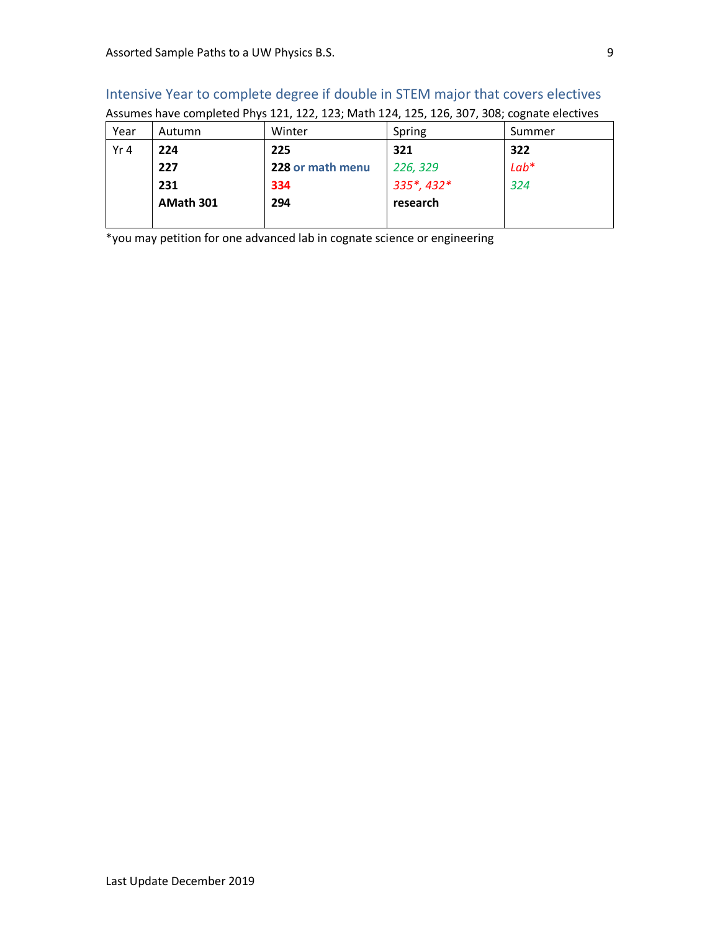| Intensive Year to complete degree if double in STEM major that covers electives            |  |  |  |  |  |  |  |
|--------------------------------------------------------------------------------------------|--|--|--|--|--|--|--|
| Assumes have completed Phys 121, 122, 123; Math 124, 125, 126, 307, 308; cognate electives |  |  |  |  |  |  |  |
| Summer<br>Spring<br>Year<br>Winter<br>Autumn                                               |  |  |  |  |  |  |  |
|                                                                                            |  |  |  |  |  |  |  |

| the contract of the contract of the contract of the contract of the contract of the contract of the contract of |  |  |  |  |  |
|-----------------------------------------------------------------------------------------------------------------|--|--|--|--|--|
| Assumes have completed Phys 121, 122, 123; Math 124, 125, 126, 307, 308; cognate electives                      |  |  |  |  |  |

| Year            | Autumn    | Winter           | Spring     | Summer |
|-----------------|-----------|------------------|------------|--------|
| Yr <sub>4</sub> | 224       | 225              | 321        | 322    |
|                 | 227       | 228 or math menu | 226, 329   | $Lab*$ |
|                 | 231       | 334              | 335*, 432* | 324    |
|                 | AMath 301 | 294              | research   |        |
|                 |           |                  |            |        |

\*you may petition for one advanced lab in cognate science or engineering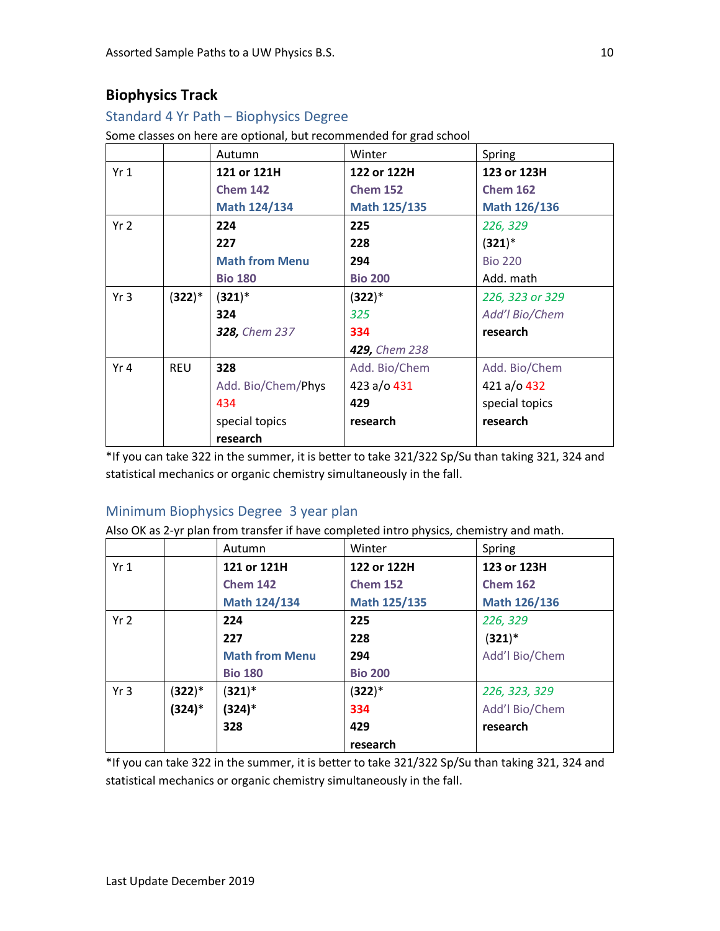# **Biophysics Track**

#### Standard 4 Yr Path – Biophysics Degree

Some classes on here are optional, but recommended for grad school

|                 |            | Autumn                | Winter          | Spring          |
|-----------------|------------|-----------------------|-----------------|-----------------|
| Yr1             |            | 121 or 121H           | 122 or 122H     | 123 or 123H     |
|                 |            | <b>Chem 142</b>       | <b>Chem 152</b> | <b>Chem 162</b> |
|                 |            | Math 124/134          | Math 125/135    | Math 126/136    |
| Yr <sub>2</sub> |            | 224                   | 225             | 226, 329        |
|                 |            | 227                   | 228             | $(321)^*$       |
|                 |            | <b>Math from Menu</b> | 294             | <b>Bio 220</b>  |
|                 |            | <b>Bio 180</b>        | <b>Bio 200</b>  | Add. math       |
| Yr <sub>3</sub> | $(322)^*$  | $(321)^*$             | $(322)^*$       | 226, 323 or 329 |
|                 |            | 324                   | 325             | Add'l Bio/Chem  |
|                 |            | 328, Chem 237         | 334             | research        |
|                 |            |                       | 429, Chem 238   |                 |
| Yr 4            | <b>REU</b> | 328                   | Add. Bio/Chem   | Add. Bio/Chem   |
|                 |            | Add. Bio/Chem/Phys    | 423 a/o 431     | 421 a/o 432     |
|                 |            | 434                   | 429             | special topics  |
|                 |            | special topics        | research        | research        |
|                 |            | research              |                 |                 |

\*If you can take 322 in the summer, it is better to take 321/322 Sp/Su than taking 321, 324 and statistical mechanics or organic chemistry simultaneously in the fall.

#### Minimum Biophysics Degree 3 year plan

Also OK as 2-yr plan from transfer if have completed intro physics, chemistry and math.

|                 |           | Autumn                | Winter          | Spring          |
|-----------------|-----------|-----------------------|-----------------|-----------------|
| Yr1             |           | 121 or 121H           | 122 or 122H     | 123 or 123H     |
|                 |           | <b>Chem 142</b>       | <b>Chem 152</b> | <b>Chem 162</b> |
|                 |           | Math 124/134          | Math 125/135    | Math 126/136    |
| Yr <sub>2</sub> |           | 224                   | 225             | 226, 329        |
|                 |           | 227                   | 228             | $(321)^*$       |
|                 |           | <b>Math from Menu</b> | 294             | Add'l Bio/Chem  |
|                 |           | <b>Bio 180</b>        | <b>Bio 200</b>  |                 |
| Yr <sub>3</sub> | $(322)^*$ | $(321)^*$             | $(322)^*$       | 226, 323, 329   |
|                 | (324)*    | (324)*                | 334             | Add'l Bio/Chem  |
|                 |           | 328                   | 429             | research        |
|                 |           |                       | research        |                 |

\*If you can take 322 in the summer, it is better to take 321/322 Sp/Su than taking 321, 324 and statistical mechanics or organic chemistry simultaneously in the fall.